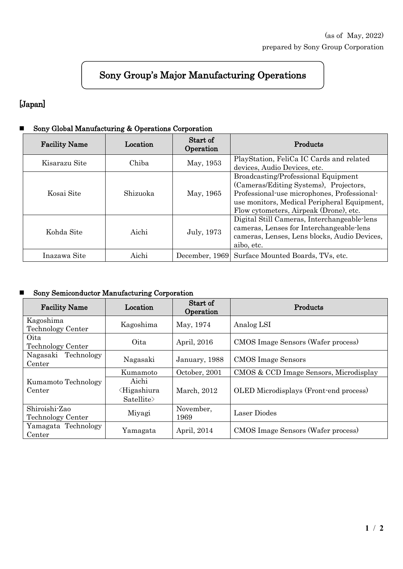# Sony Group's Major Manufacturing Operations

### [Japan]

#### Sony Global Manufacturing & Operations Corporation

| <b>Facility Name</b> | Location | Start of<br>Operation | Products                                                                                                                                                                                                                     |  |
|----------------------|----------|-----------------------|------------------------------------------------------------------------------------------------------------------------------------------------------------------------------------------------------------------------------|--|
| Kisarazu Site        | Chiba    | May, 1953             | PlayStation, FeliCa IC Cards and related<br>devices, Audio Devices, etc.                                                                                                                                                     |  |
| Kosai Site           | Shizuoka | May, 1965             | <b>Broadcasting/Professional Equipment</b><br>(Cameras/Editing Systems), Projectors,<br>Professional-use microphones, Professional-<br>use monitors, Medical Peripheral Equipment,<br>Flow cytometers, Airpeak (Drone), etc. |  |
| Kohda Site           | Aichi    | July, 1973            | Digital Still Cameras, Interchangeable-lens<br>cameras, Lenses for Interchangeable-lens<br>cameras, Lenses, Lens blocks, Audio Devices,<br>aibo, etc.                                                                        |  |
| Inazawa Site         | Aichi    | December, 1969        | Surface Mounted Boards, TVs, etc.                                                                                                                                                                                            |  |

#### Sony Semiconductor Manufacturing Corporation

| <b>Facility Name</b>                      | Location                                              | Start of<br>Operation | Products                               |  |
|-------------------------------------------|-------------------------------------------------------|-----------------------|----------------------------------------|--|
| Kagoshima<br><b>Technology Center</b>     | Kagoshima                                             | May, 1974             | Analog LSI                             |  |
| Oita<br><b>Technology Center</b>          | Oita                                                  | April, 2016           | CMOS Image Sensors (Wafer process)     |  |
| Nagasaki Technology<br>Center             | Nagasaki                                              | January, 1988         | <b>CMOS</b> Image Sensors              |  |
|                                           | Kumamoto                                              | October, 2001         | CMOS & CCD Image Sensors, Microdisplay |  |
| Kumamoto Technology<br>Center             | Aichi<br><higashiura<br>Satellite&gt;</higashiura<br> | March, 2012           | OLED Microdisplays (Front-end process) |  |
| Shiroishi-Zao<br><b>Technology Center</b> | Miyagi                                                | November,<br>1969     | Laser Diodes                           |  |
| Yamagata Technology<br>Center             | Yamagata                                              | April, 2014           | CMOS Image Sensors (Wafer process)     |  |